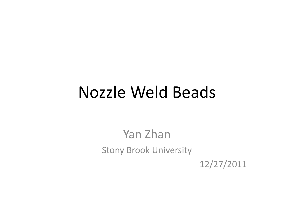# **Nozzle Weld Beads**

Yan Zhan **Stony Brook University** 

12/27/2011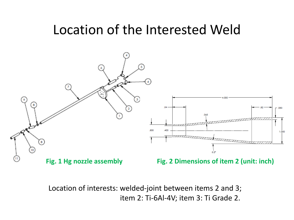#### Location of the Interested Weld



Location of interests: welded-joint between items 2 and 3; item 2: Ti-6Al-4V; item 3: Ti Grade 2.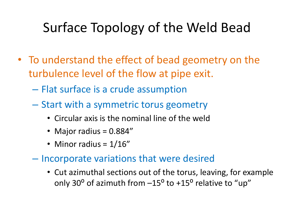## Surface Topology of the Weld Bead

- To understand the effect of bead geometry on the turbulence level of the flow at pipe exit.
	- Flat surface is a crude assumption
	- Start with a symmetric torus geometry
		- Circular axis is the nominal line of the weld
		- Major radius = 0.884"
		- Minor radius =  $1/16"$
	- Incorporate variations that were desired
		- Cut azimuthal sections out of the torus, leaving, for example only 30 $^{\circ}$  of azimuth from  $-15^{\circ}$  to  $+15^{\circ}$  relative to "up"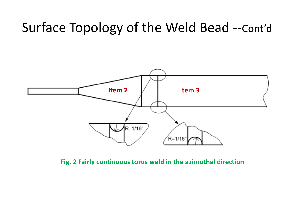## Surface Topology of the Weld Bead --Cont'd



**Fig. 2 Fairly continuous torus weld in the azimuthal direction**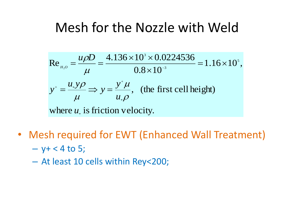## Mesh for the Nozzle with Weld

Re<sub>*u<sub>20</sub>* = 
$$
\frac{u\rho D}{\mu} = \frac{4.136 \times 10^3 \times 0.0224536}{0.8 \times 10^{-3}} = 1.16 \times 10^5
$$
,  
\n $y^+ = \frac{u_* y \rho}{\mu} \Rightarrow y = \frac{y^+ \mu}{u_* \rho}$ , (the first cell height)  
\nwhere *u<sub>\*</sub>* is friction velocity.</sub>

- Mesh required for EWT (Enhanced Wall Treatment)  $-$  y+ < 4 to 5;
	- At least 10 cells within Rey<200;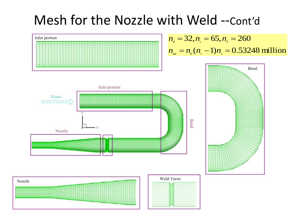## Mesh for the Nozzle with Weld --Cont'd